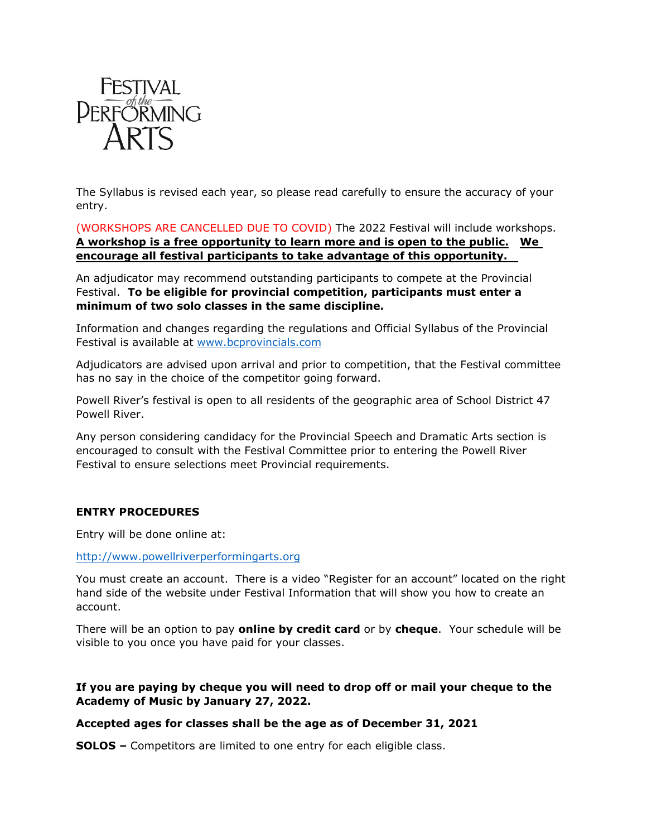

The Syllabus is revised each year, so please read carefully to ensure the accuracy of your entry.

(WORKSHOPS ARE CANCELLED DUE TO COVID) The 2022 Festival will include workshops. **A workshop is a free opportunity to learn more and is open to the public. We encourage all festival participants to take advantage of this opportunity.** 

An adjudicator may recommend outstanding participants to compete at the Provincial Festival. **To be eligible for provincial competition, participants must enter a minimum of two solo classes in the same discipline.**

Information and changes regarding the regulations and Official Syllabus of the Provincial Festival is available at [www.bcprovincials.com](file:///C:\Users\Mon\Invis%20Courtenay\Invis%20Courtenay%20Team%20Site%20-%20Monica%20Peckford\Personal\Rotary\Festival\Sylabus\www.bcprovincials.com)

Adjudicators are advised upon arrival and prior to competition, that the Festival committee has no say in the choice of the competitor going forward.

Powell River's festival is open to all residents of the geographic area of School District 47 Powell River.

Any person considering candidacy for the Provincial Speech and Dramatic Arts section is encouraged to consult with the Festival Committee prior to entering the Powell River Festival to ensure selections meet Provincial requirements.

# **ENTRY PROCEDURES**

Entry will be done online at:

#### <http://www.powellriverperformingarts.org>

You must create an account.There is a video "Register for an account" located on the right hand side of the website under Festival Information that will show you how to create an account.

There will be an option to pay **online by credit card** or by **cheque**. Your schedule will be visible to you once you have paid for your classes.

**If you are paying by cheque you will need to drop off or mail your cheque to the Academy of Music by January 27, 2022.**

### **Accepted ages for classes shall be the age as of December 31, 2021**

**SOLOS –** Competitors are limited to one entry for each eligible class.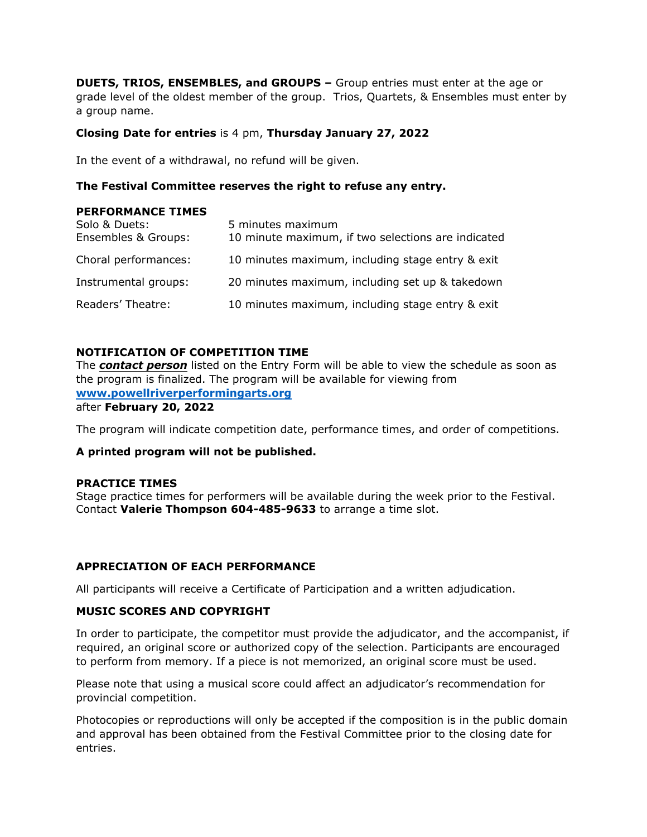**DUETS, TRIOS, ENSEMBLES, and GROUPS –** Group entries must enter at the age or grade level of the oldest member of the group. Trios, Quartets, & Ensembles must enter by a group name.

## **Closing Date for entries** is 4 pm, **Thursday January 27, 2022**

In the event of a withdrawal, no refund will be given.

### **The Festival Committee reserves the right to refuse any entry.**

#### **PERFORMANCE TIMES**

| Solo & Duets:<br>Ensembles & Groups: | 5 minutes maximum<br>10 minute maximum, if two selections are indicated |
|--------------------------------------|-------------------------------------------------------------------------|
| Choral performances:                 | 10 minutes maximum, including stage entry & exit                        |
| Instrumental groups:                 | 20 minutes maximum, including set up & takedown                         |
| Readers' Theatre:                    | 10 minutes maximum, including stage entry & exit                        |

### **NOTIFICATION OF COMPETITION TIME**

The *contact person* listed on the Entry Form will be able to view the schedule as soon as the program is finalized. The program will be available for viewing from **[www.powellriverperformingarts.org](http://www.powellriverperformingarts.org/)** 

after **February 20, 2022**

The program will indicate competition date, performance times, and order of competitions.

### **A printed program will not be published.**

#### **PRACTICE TIMES**

Stage practice times for performers will be available during the week prior to the Festival. Contact **Valerie Thompson 604-485-9633** to arrange a time slot.

### **APPRECIATION OF EACH PERFORMANCE**

All participants will receive a Certificate of Participation and a written adjudication.

### **MUSIC SCORES AND COPYRIGHT**

In order to participate, the competitor must provide the adjudicator, and the accompanist, if required, an original score or authorized copy of the selection. Participants are encouraged to perform from memory. If a piece is not memorized, an original score must be used.

Please note that using a musical score could affect an adjudicator's recommendation for provincial competition.

Photocopies or reproductions will only be accepted if the composition is in the public domain and approval has been obtained from the Festival Committee prior to the closing date for entries.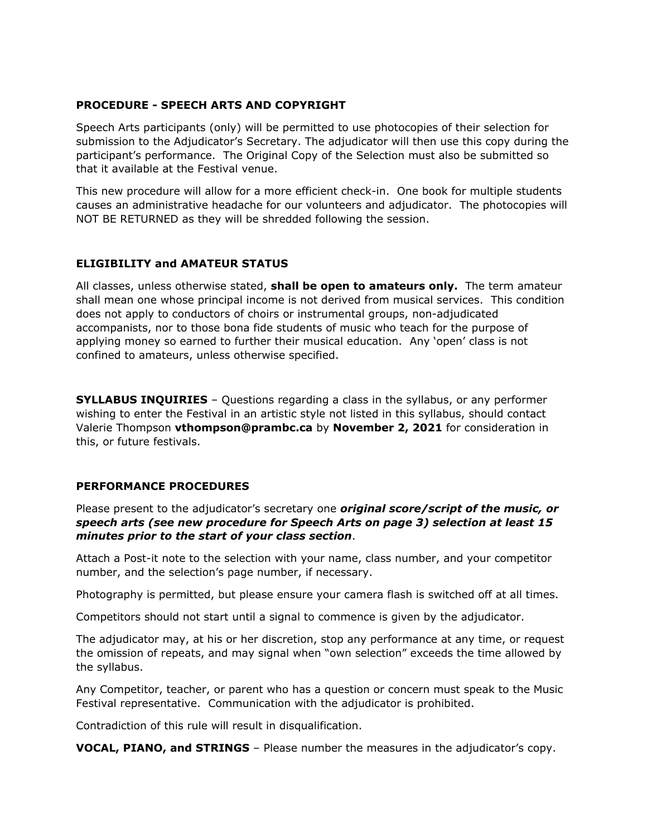### **PROCEDURE - SPEECH ARTS AND COPYRIGHT**

Speech Arts participants (only) will be permitted to use photocopies of their selection for submission to the Adjudicator's Secretary. The adjudicator will then use this copy during the participant's performance. The Original Copy of the Selection must also be submitted so that it available at the Festival venue.

This new procedure will allow for a more efficient check-in. One book for multiple students causes an administrative headache for our volunteers and adjudicator. The photocopies will NOT BE RETURNED as they will be shredded following the session.

# **ELIGIBILITY and AMATEUR STATUS**

All classes, unless otherwise stated, **shall be open to amateurs only.** The term amateur shall mean one whose principal income is not derived from musical services. This condition does not apply to conductors of choirs or instrumental groups, non-adjudicated accompanists, nor to those bona fide students of music who teach for the purpose of applying money so earned to further their musical education. Any 'open' class is not confined to amateurs, unless otherwise specified.

**SYLLABUS INQUIRIES** – Questions regarding a class in the syllabus, or any performer wishing to enter the Festival in an artistic style not listed in this syllabus, should contact Valerie Thompson **vthompson@prambc.ca** by **November 2, 2021** for consideration in this, or future festivals.

### **PERFORMANCE PROCEDURES**

Please present to the adjudicator's secretary one *original score/script of the music, or speech arts (see new procedure for Speech Arts on page 3) selection at least 15 minutes prior to the start of your class section*.<br>Attach a Post-it note to the selection with your name, class number, and your competitor

number, and the selection's page number, if necessary.

Photography is permitted, but please ensure your camera flash is switched off at all times.

Competitors should not start until a signal to commence is given by the adjudicator.

The adjudicator may, at his or her discretion, stop any performance at any time, or request the omission of repeats, and may signal when "own selection" exceeds the time allowed by the syllabus.

Any Competitor, teacher, or parent who has a question or concern must speak to the Music Festival representative. Communication with the adjudicator is prohibited.

Contradiction of this rule will result in disqualification.

**VOCAL, PIANO, and STRINGS** – Please number the measures in the adjudicator's copy.